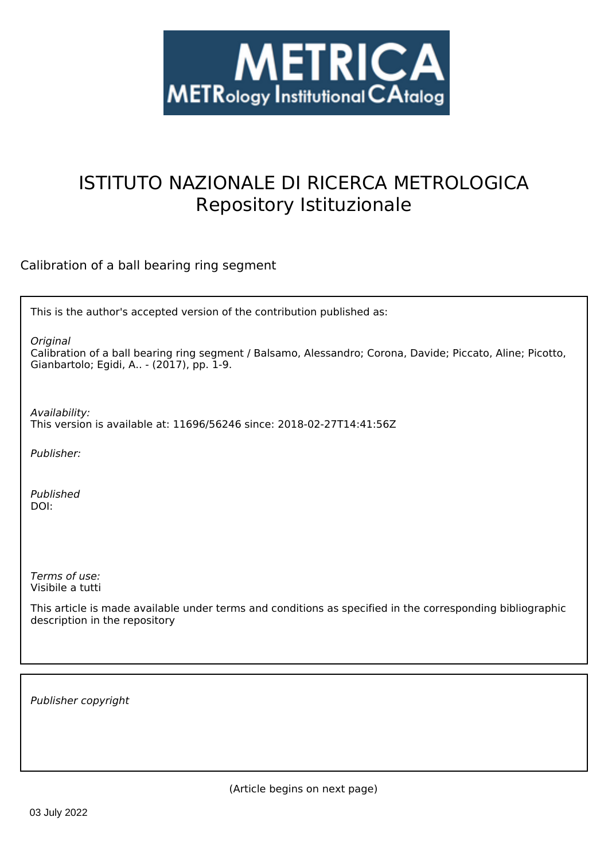

# ISTITUTO NAZIONALE DI RICERCA METROLOGICA Repository Istituzionale

Calibration of a ball bearing ring segment

This is the author's accepted version of the contribution published as:

*Original*

Calibration of a ball bearing ring segment / Balsamo, Alessandro; Corona, Davide; Piccato, Aline; Picotto, Gianbartolo; Egidi, A.. - (2017), pp. 1-9.

*Availability:* This version is available at: 11696/56246 since: 2018-02-27T14:41:56Z

*Publisher:*

*Published* DOI:

*Terms of use:* Visibile a tutti

This article is made available under terms and conditions as specified in the corresponding bibliographic description in the repository

*Publisher copyright*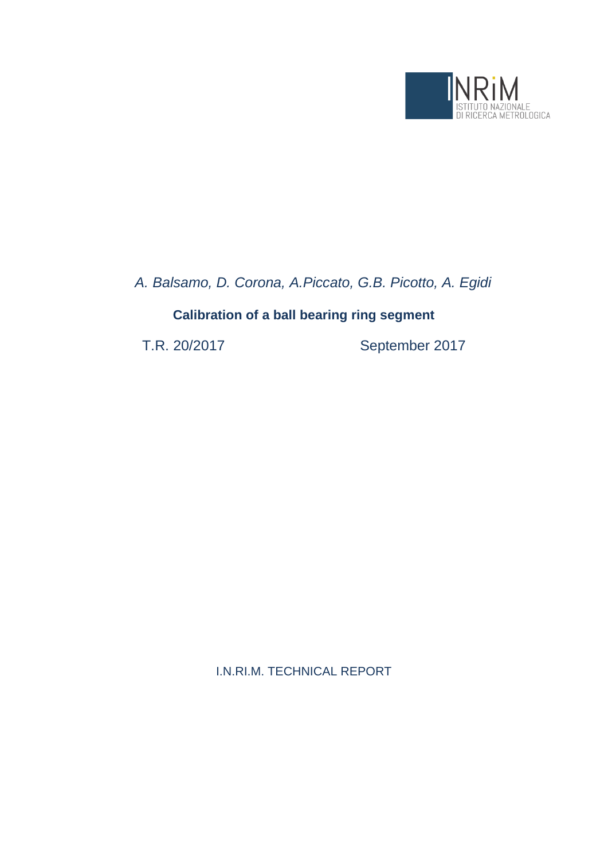

*A. Balsamo, D. Corona, A.Piccato, G.B. Picotto, A. Egidi*

## **Calibration of a ball bearing ring segment**

T.R. 20/2017 September 2017

I.N.RI.M. TECHNICAL REPORT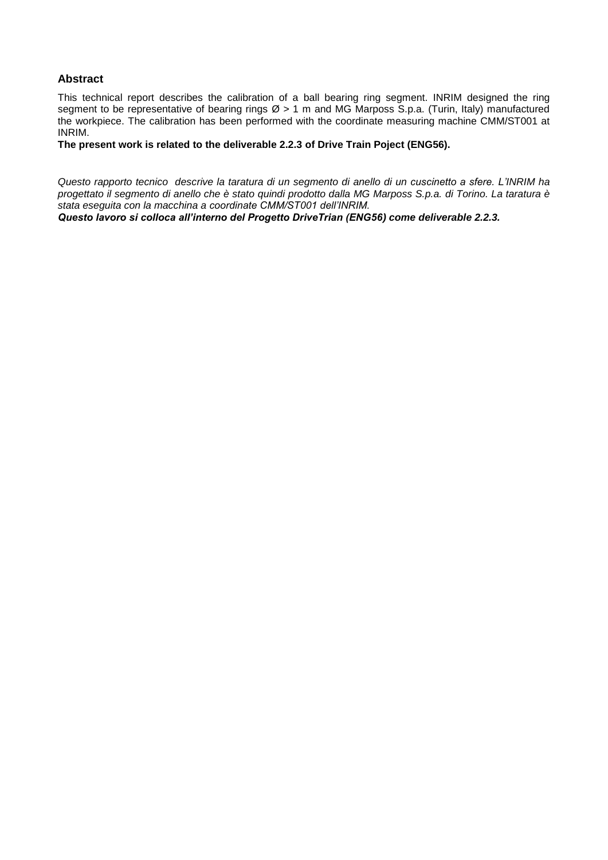#### **Abstract**

This technical report describes the calibration of a ball bearing ring segment. INRIM designed the ring segment to be representative of bearing rings  $\varnothing$  > 1 m and MG Marposs S.p.a. (Turin, Italy) manufactured the workpiece. The calibration has been performed with the coordinate measuring machine CMM/ST001 at INRIM.

**The present work is related to the deliverable 2.2.3 of Drive Train Poject (ENG56).**

*Questo rapporto tecnico descrive la taratura di un segmento di anello di un cuscinetto a sfere. L'INRIM ha progettato il segmento di anello che è stato quindi prodotto dalla MG Marposs S.p.a. di Torino. La taratura è stata eseguita con la macchina a coordinate CMM/ST001 dell'INRIM.*

*Questo lavoro si colloca all'interno del Progetto DriveTrian (ENG56) come deliverable 2.2.3.*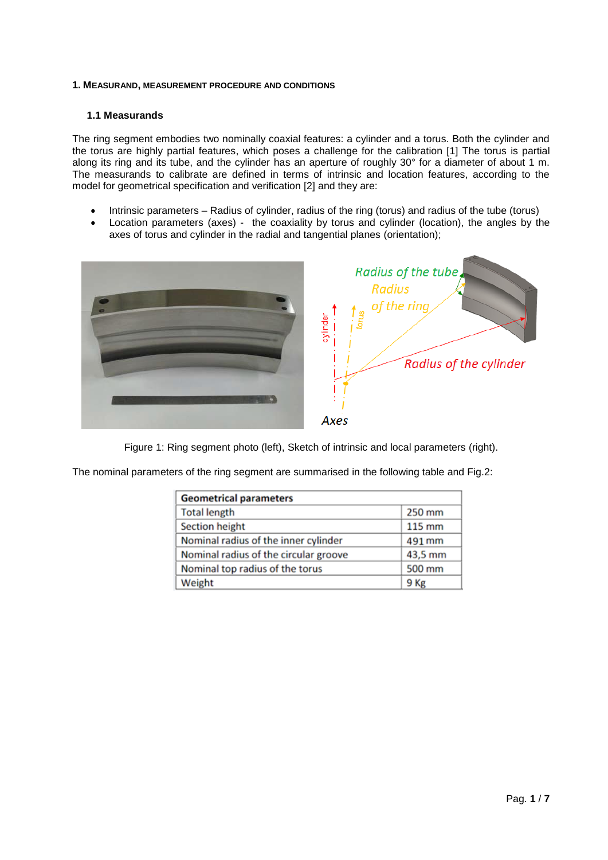#### **1. MEASURAND, MEASUREMENT PROCEDURE AND CONDITIONS**

#### **1.1 Measurands**

The ring segment embodies two nominally coaxial features: a cylinder and a torus. Both the cylinder and the torus are highly partial features, which poses a challenge for the calibration [1] The torus is partial along its ring and its tube, and the cylinder has an aperture of roughly 30° for a diameter of about 1 m. The measurands to calibrate are defined in terms of intrinsic and location features, according to the model for geometrical specification and verification [2] and they are:

- Intrinsic parameters Radius of cylinder, radius of the ring (torus) and radius of the tube (torus)
- Location parameters (axes) the coaxiality by torus and cylinder (location), the angles by the axes of torus and cylinder in the radial and tangential planes (orientation);



Figure 1: Ring segment photo (left), Sketch of intrinsic and local parameters (right).

The nominal parameters of the ring segment are summarised in the following table and Fig.2:

| <b>Geometrical parameters</b>         |         |
|---------------------------------------|---------|
| <b>Total length</b>                   | 250 mm  |
| Section height                        | 115 mm  |
| Nominal radius of the inner cylinder  | 491 mm  |
| Nominal radius of the circular groove | 43,5 mm |
| Nominal top radius of the torus       | 500 mm  |
| Weight                                | 9 Kg    |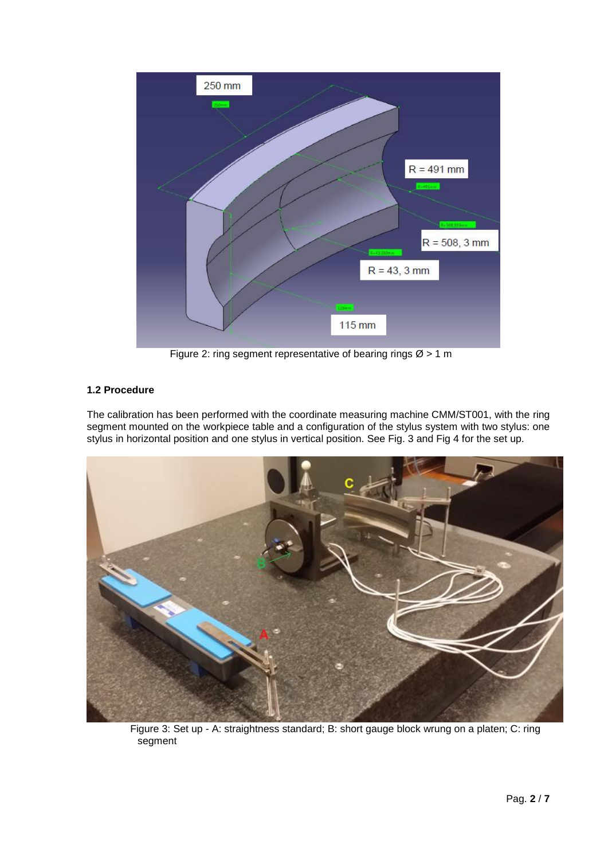

Figure 2: ring segment representative of bearing rings  $\varnothing$  > 1 m

### **1.2 Procedure**

The calibration has been performed with the coordinate measuring machine CMM/ST001, with the ring segment mounted on the workpiece table and a configuration of the stylus system with two stylus: one stylus in horizontal position and one stylus in vertical position. See Fig. 3 and Fig 4 for the set up.



Figure 3: Set up - A: straightness standard; B: short gauge block wrung on a platen; C: ring segment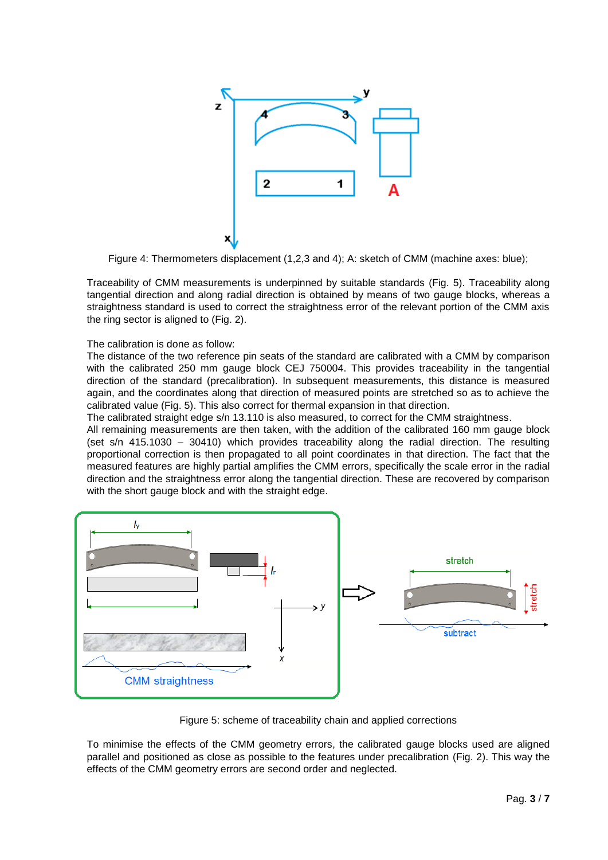

Figure 4: Thermometers displacement (1,2,3 and 4); A: sketch of CMM (machine axes: blue);

Traceability of CMM measurements is underpinned by suitable standards (Fig. 5). Traceability along tangential direction and along radial direction is obtained by means of two gauge blocks, whereas a straightness standard is used to correct the straightness error of the relevant portion of the CMM axis the ring sector is aligned to (Fig. 2).

The calibration is done as follow:

The distance of the two reference pin seats of the standard are calibrated with a CMM by comparison with the calibrated 250 mm gauge block CEJ 750004. This provides traceability in the tangential direction of the standard (precalibration). In subsequent measurements, this distance is measured again, and the coordinates along that direction of measured points are stretched so as to achieve the calibrated value (Fig. 5). This also correct for thermal expansion in that direction.

The calibrated straight edge s/n 13.110 is also measured, to correct for the CMM straightness.

All remaining measurements are then taken, with the addition of the calibrated 160 mm gauge block (set s/n 415.1030 – 30410) which provides traceability along the radial direction. The resulting proportional correction is then propagated to all point coordinates in that direction. The fact that the measured features are highly partial amplifies the CMM errors, specifically the scale error in the radial direction and the straightness error along the tangential direction. These are recovered by comparison with the short gauge block and with the straight edge.



Figure 5: scheme of traceability chain and applied corrections

To minimise the effects of the CMM geometry errors, the calibrated gauge blocks used are aligned parallel and positioned as close as possible to the features under precalibration (Fig. 2). This way the effects of the CMM geometry errors are second order and neglected.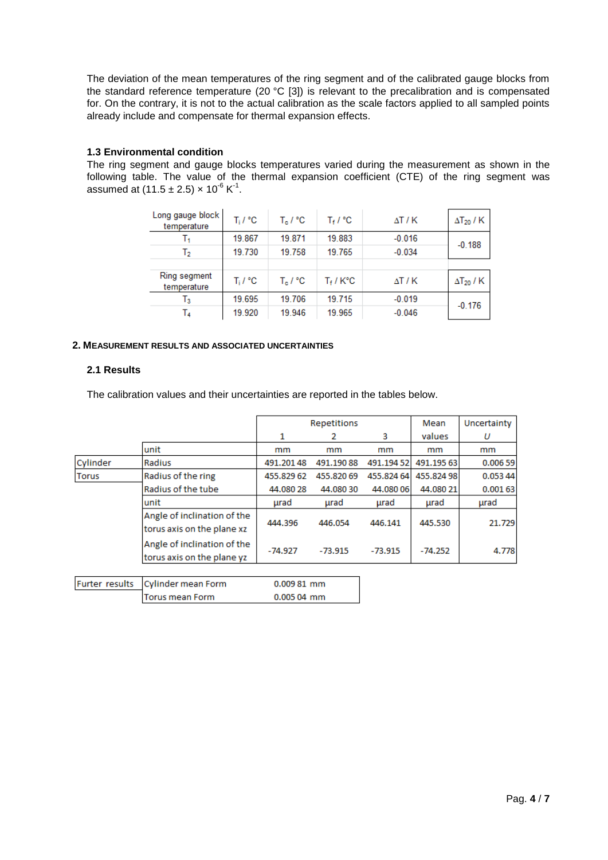The deviation of the mean temperatures of the ring segment and of the calibrated gauge blocks from the standard reference temperature (20 °C [3]) is relevant to the precalibration and is compensated for. On the contrary, it is not to the actual calibration as the scale factors applied to all sampled points already include and compensate for thermal expansion effects.

#### **1.3 Environmental condition**

The ring segment and gauge blocks temperatures varied during the measurement as shown in the following table. The value of the thermal expansion coefficient (CTE) of the ring segment was assumed at (11.5  $\pm$  2.5)  $\times$  10<sup>-6</sup> K<sup>-1</sup>.

| Long gauge block  <br>temperature | $T_i / {}^{\circ}C$ | $T_{\rm e}$ / °C | $T_f$ / $^{\circ}$ C | ΔT / K       | $\Delta$ T <sub>20</sub> / K |
|-----------------------------------|---------------------|------------------|----------------------|--------------|------------------------------|
|                                   | 19.867              | 19.871           | 19.883               | $-0.016$     | $-0.188$                     |
| Ъ                                 | 19.730              | 19.758           | 19.765               | $-0.034$     |                              |
|                                   |                     |                  |                      |              |                              |
| Ring segment<br>temperature       | $T_i / {}^{\circ}C$ | $T_{\rm e}$ / °C | $T_f/K$ °C           | $\Delta T/K$ | $\Delta$ T <sub>20</sub> / K |
| Т3                                | 19.695              | 19.706           | 19.715               | $-0.019$     | $-0.176$                     |
| T4                                | 19.920              | 19.946           | 19.965               | $-0.046$     |                              |

#### **2. MEASUREMENT RESULTS AND ASSOCIATED UNCERTAINTIES**

Torus mean Form

#### **2.1 Results**

The calibration values and their uncertainties are reported in the tables below.

|                |                                                           |             | <b>Repetitions</b> | Mean       | Uncertainty |         |
|----------------|-----------------------------------------------------------|-------------|--------------------|------------|-------------|---------|
|                |                                                           | 1           | 2                  | 3          | values      | υ       |
|                | unit                                                      | mm          | mm                 | mm         | mm          | mm      |
| Cylinder       | Radius                                                    | 491.20148   | 491.19088          | 491.19452  | 491.195 63  | 0.00659 |
| Torus          | Radius of the ring                                        | 455.829 62  | 455.820 69         | 455.824 64 | 455.82498   | 0.05344 |
|                | Radius of the tube                                        | 44.080 28   | 44.08030           | 44.080 06  | 44.080 21   | 0.00163 |
|                | unit                                                      | urad        | urad               | urad       | urad        | urad    |
|                | Angle of inclination of the<br>torus axis on the plane xz | 444.396     | 446.054            | 446.141    | 445.530     | 21.729  |
|                | Angle of inclination of the<br>torus axis on the plane yz | $-74.927$   | $-73.915$          | $-73.915$  | $-74.252$   | 4.778   |
|                |                                                           |             |                    |            |             |         |
| Furter results | Cylinder mean Form                                        | 0.009 81 mm |                    |            |             |         |

0.005 04 mm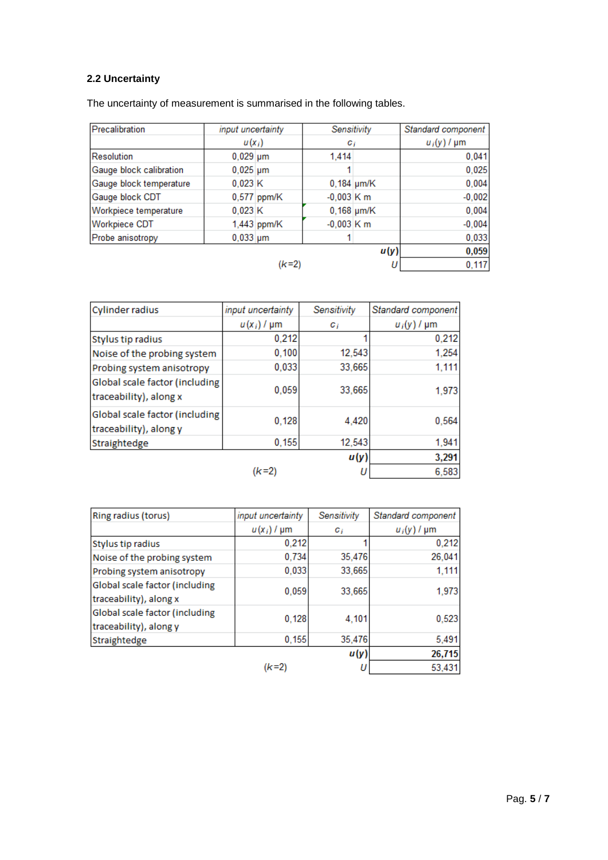## **2.2 Uncertainty**

The uncertainty of measurement is summarised in the following tables.

| Precalibration          | input uncertainty |               | Sensitivity  |              | Standard component |
|-------------------------|-------------------|---------------|--------------|--------------|--------------------|
|                         | $u(x_i)$          |               | $c_i$        |              | $u_i(y)$ / $\mu$ m |
| <b>Resolution</b>       | $0,029$ µm        |               | 1.414        |              | 0,041              |
| Gauge block calibration | $0,025 \mu m$     |               |              |              | 0,025              |
| Gauge block temperature | 0,023K            |               |              | $0,184$ µm/K | 0,004              |
| Gauge block CDT         |                   | $0,577$ ppm/K | $-0,003$ K m |              | $-0,002$           |
| Workpiece temperature   | 0,023K            |               |              | $0,168$ µm/K | 0,004              |
| <b>Workpiece CDT</b>    |                   | 1,443 ppm/K   | $-0.003$ K m |              | $-0,004$           |
| Probe anisotropy        | $0,033$ µm        |               |              |              | 0,033              |
|                         |                   |               |              | u(y)         | 0,059              |
|                         |                   | (k=2)         |              |              | 0,117              |

| Cylinder radius                                          | input uncertainty  | Sensitivity | Standard component |  |
|----------------------------------------------------------|--------------------|-------------|--------------------|--|
|                                                          | $u(x_i)$ / $\mu$ m | $c_i$       | $u_i(y)$ / $\mu$ m |  |
| Stylus tip radius                                        | 0,212              |             | 0,212              |  |
| Noise of the probing system                              | 0,100              | 12,543      | 1,254              |  |
| Probing system anisotropy                                | 0,033              | 33,665      | 1,111              |  |
| Global scale factor (including<br>traceability), along x | 0.059              | 33,665      | 1,973              |  |
| Global scale factor (including<br>traceability), along y | 0,128              | 4,420       | 0,564              |  |
| Straightedge                                             | 0,155              | 12,543      | 1,941              |  |
|                                                          |                    | u(y)        | 3,291              |  |
|                                                          | (k=2               |             | 6,583              |  |

| Ring radius (torus)            | input uncertainty  | Sensitivity | Standard component |  |
|--------------------------------|--------------------|-------------|--------------------|--|
|                                | $u(x_i)$ / $\mu$ m | C j         | $u_i(y)$ / $\mu$ m |  |
| Stylus tip radius              | 0,212              |             | 0,212              |  |
| Noise of the probing system    | 0,734              | 35,476      | 26,041             |  |
| Probing system anisotropy      | 0,033              | 33,665      | 1,111              |  |
| Global scale factor (including | 0,059              | 33,665      | 1,973              |  |
| traceability), along x         |                    |             |                    |  |
| Global scale factor (including | 0,128              | 4,101       | 0,523              |  |
| traceability), along y         |                    |             |                    |  |
| Straightedge                   | 0,155              | 35,476      | 5,491              |  |
|                                |                    | u(y)        | 26,715             |  |
|                                | (k=2               |             | 53,431             |  |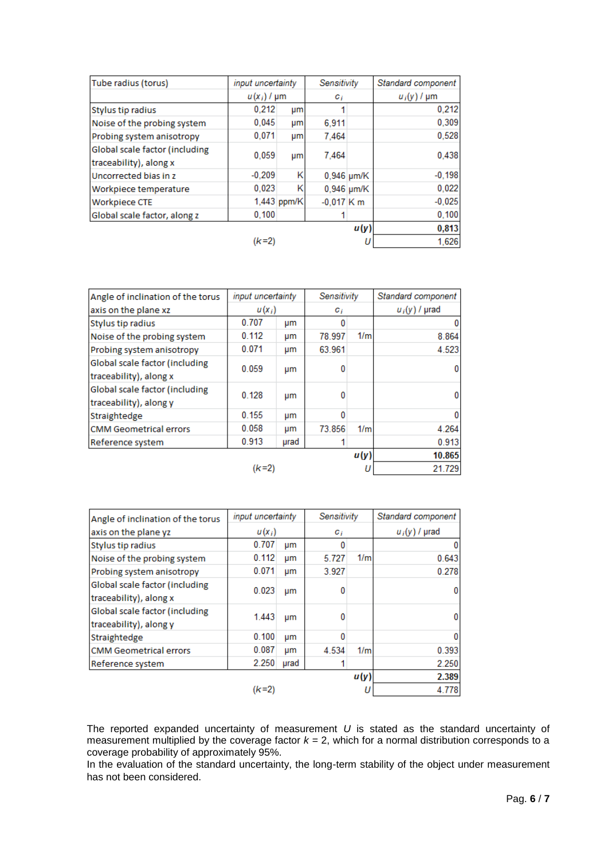| Tube radius (torus)                                      | input uncertainty  |             | Sensitivity  |              | Standard component |
|----------------------------------------------------------|--------------------|-------------|--------------|--------------|--------------------|
|                                                          | $u(x_i)$ / $\mu$ m |             | $c_i$        |              | $u_i(y)$ / $\mu$ m |
| Stylus tip radius                                        | 0.212              | μm          |              |              | 0,212              |
| Noise of the probing system                              | 0,045              | μm          | 6,911        |              | 0,309              |
| Probing system anisotropy                                | 0.071              | μm          | 7.464        |              | 0,528              |
| Global scale factor (including<br>traceability), along x | 0.059              | um          | 7.464        |              | 0.438              |
| Uncorrected bias in z                                    | $-0.209$           | κ           |              | $0,946$ µm/K | $-0,198$           |
| Workpiece temperature                                    | 0.023              | Κ           |              | $0,946$ µm/K | 0,022              |
| <b>Workpiece CTE</b>                                     |                    | 1,443 ppm/K | $-0,017$ K m |              | $-0,025$           |
| Global scale factor, along z                             | 0,100              |             |              |              | 0,100              |
|                                                          |                    |             |              | u(y)         | 0,813              |
|                                                          | (k=2               |             |              | U            | 1,626              |

| Angle of inclination of the torus                        | input uncertainty |      | Sensitivity   |      | Standard component   |
|----------------------------------------------------------|-------------------|------|---------------|------|----------------------|
| axis on the plane xz                                     | $u(x_i)$          |      | $G_{\hat{I}}$ |      | $u_i(y)$ / $\mu$ rad |
| Stylus tip radius                                        | 0.707             | μm   |               |      |                      |
| Noise of the probing system                              | 0.112             | μm   | 78.997        | 1/m  | 8.864                |
| Probing system anisotropy                                | 0.071             | μm   | 63.961        |      | 4.523                |
| Global scale factor (including<br>traceability), along x | 0.059             | μm   |               |      |                      |
| Global scale factor (including<br>traceability), along y | 0.128             | μm   |               |      | 0                    |
| Straightedge                                             | 0.155             | μm   |               |      |                      |
| <b>CMM Geometrical errors</b>                            | 0.058             | μm   | 73.856        | 1/m  | 4.264                |
| Reference system                                         | 0.913             | urad |               |      | 0.913                |
|                                                          |                   |      |               | u(y) | 10.865               |
|                                                          | (k=2              |      | U             |      | 21.729               |

| Angle of inclination of the torus                        | <i>input uncertainty</i><br>Sensitivity |      |                | Standard component |                      |
|----------------------------------------------------------|-----------------------------------------|------|----------------|--------------------|----------------------|
| axis on the plane yz                                     | $u(x_i)$                                |      | C <sub>i</sub> |                    | $u_i(y)$ / $\mu$ rad |
| Stylus tip radius                                        | 0.707                                   | μm   |                |                    |                      |
| Noise of the probing system                              | 0.112                                   | um   | 5.727          | 1/m                | 0.643                |
| Probing system anisotropy                                | 0.071                                   | μm   | 3.927          |                    | 0.278                |
| Global scale factor (including<br>traceability), along x | 0.023                                   | μm   |                |                    |                      |
| Global scale factor (including<br>traceability), along y | 1.443                                   | μm   | 0              |                    |                      |
| Straightedge                                             | 0.100                                   | μm   |                |                    |                      |
| <b>CMM Geometrical errors</b>                            | 0.087                                   | um   | 4.534          | 1/m                | 0.393                |
| Reference system                                         | 2.250                                   | urad |                |                    | 2.250                |
|                                                          |                                         |      |                | u(y)               | 2.389                |
|                                                          | (k=2                                    |      |                |                    | 4.778                |

The reported expanded uncertainty of measurement *U* is stated as the standard uncertainty of measurement multiplied by the coverage factor *k* = 2, which for a normal distribution corresponds to a coverage probability of approximately 95%.

In the evaluation of the standard uncertainty, the long-term stability of the object under measurement has not been considered.